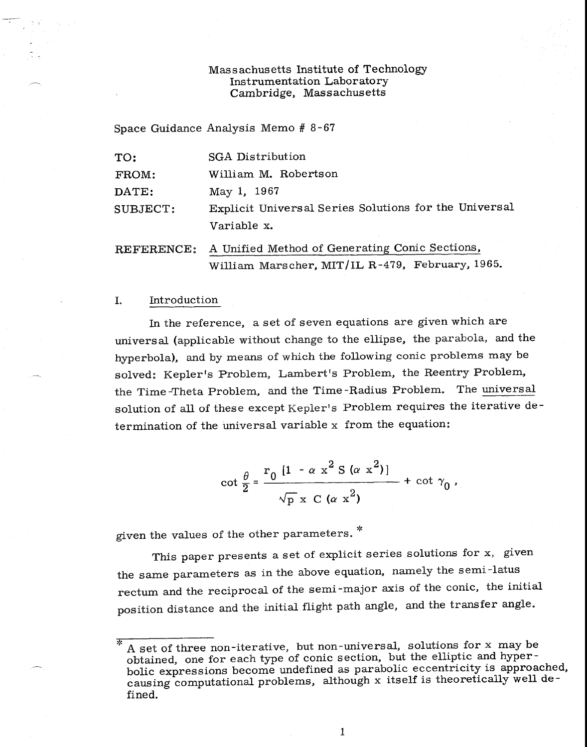## Massachusetts Institute of Technology Instrumentation Laboratory Cambridge, Massachusetts

Space Guidance Analysis Memo # 8-67

| TO:               | <b>SGA</b> Distribution                               |
|-------------------|-------------------------------------------------------|
| FROM:             | William M. Robertson                                  |
| DATE:             | May 1, 1967                                           |
| SUBJECT:          | Explicit Universal Series Solutions for the Universal |
|                   | Variable x.                                           |
| <b>REFERENCE:</b> | A Unified Method of Generating Conic Sections,        |
|                   | William Marscher, MIT/IL R-479, February, 1965.       |

## I. Introduction

In the reference, a set of seven equations are given which are universal (applicable without change to the ellipse, the parabola, and the hyperbola), and by means of which the following conic problems may be solved: Kepler's Problem, Lambert's Problem, the Reentry Problem, the Time Theta Problem, and the Time-Radius Problem. The universal solution of all of these except Kepler's Problem requires the iterative determination of the universal variable x from the equation:

$$
\cot \frac{\theta}{2} = \frac{r_0 [1 - \alpha x^2 S (\alpha x^2)]}{\sqrt{p} x C (\alpha x^2)} + \cot \gamma_0,
$$

given the values of the other parameters. \*

This paper presents a set of explicit series solutions for x, given the same parameters as in the above equation, namely the semi-latus rectum and the reciprocal of the semi-major axis of the conic, the initial position distance and the initial flight path angle, and the transfer angle.

1

A set of three non-iterative, but non-universal, solutions for x may be obtained, one for each type of conic section, but the elliptic and hyperbolic expressions become undefined as parabolic eccentricity is approached, causing computational problems, although x itself is theoretically well defined.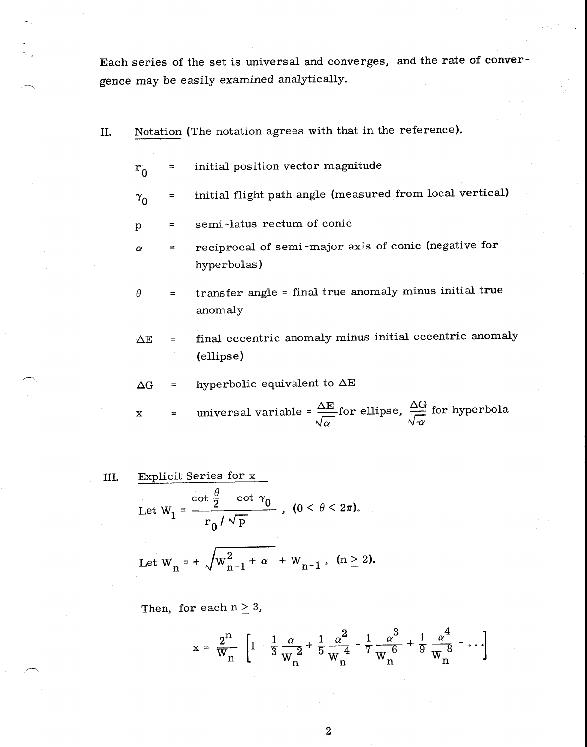Each series of the set is universal and converges, and the rate of convergence may be easily examined analytically.

- II. Notation (The notation agrees with that in the reference).
	- $r_0$  = initial position vector magnitude
	- $\gamma_0$  = initial flight path angle (measured from local vertical)
	- semi-latus rectum of conic  $\mathbf{p}$  $\equiv$
	- *a =* reciprocal of semi-major axis of conic (negative for hyperbolas)
	- transfer angle = final true anomaly minus initial true  $\theta$  $\equiv$ anomaly
	- $\Delta E$  = final eccentric anomaly minus initial eccentric anomaly (ellipse)
	- $\Delta G$  = hyperbolic equivalent to  $\Delta E$

$$
z = \text{universal variable} = \frac{\Delta E}{\sqrt{\alpha}} \text{ for ellipse, } \frac{\Delta G}{\sqrt{\alpha}} \text{ for hyperbola}
$$

III. Explicit Series for x  
\nLet 
$$
W_1 = \frac{\cot \frac{\theta}{2} - \cot \gamma_0}{r_0 / \sqrt{p}}
$$
,  $(0 < \theta < 2\pi)$ .

Let 
$$
W_n = +\sqrt{W_{n-1}^2 + \alpha} + W_{n-1}
$$
,  $(n \ge 2)$ .

Then, for each  $n \geq 3$ ,

$$
x = \frac{2^{n}}{W_{n}} \left[ 1 - \frac{1}{3} \frac{\alpha}{W_{n}}^{2} + \frac{1}{5} \frac{\alpha^{2}}{W_{n}^{4}} - \frac{1}{7} \frac{\alpha^{3}}{W_{n}^{6}} + \frac{1}{9} \frac{\alpha^{4}}{W_{n}^{8}} - \cdots \right]
$$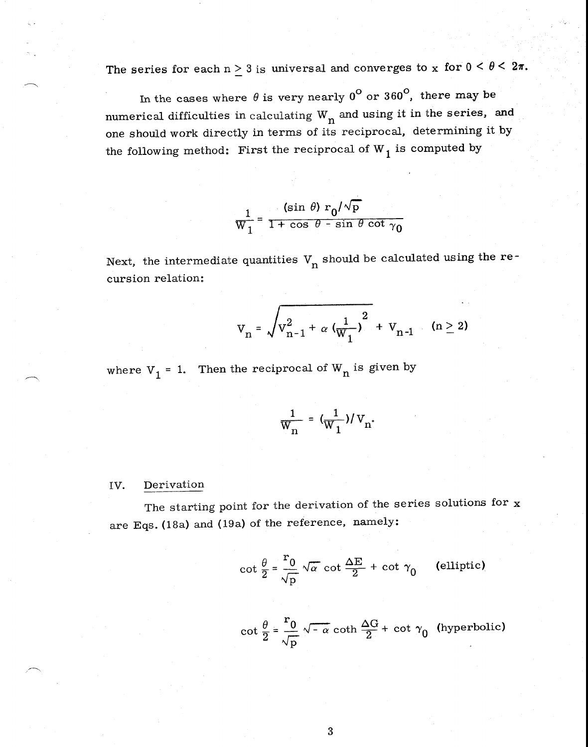The series for each  $n \geq 3$  is universal and converges to x for  $0 < \theta < 2\pi$ .

In the cases where  $\theta$  is very nearly  $0^{\mathsf{O}}$  or  $360^{\mathsf{O}}$ , there may be numerical difficulties in calculating  $W_n$  and using it in the series, and one should work directly in terms of its reciprocal, determining it by the following method: First the reciprocal of  $W_1$  is computed by

$$
\frac{1}{W_1} = \frac{(\sin \theta) r_0/\sqrt{p}}{1 + \cos \theta - \sin \theta \cot \gamma_0}
$$

Next, the intermediate quantities  $V_n$  should be calculated using the recursion relation:

$$
V_n = \sqrt{V_{n-1}^2 + \alpha \left(\frac{1}{W_1}\right)^2 + V_{n-1}}
$$
 (n \ge 2)

where  $V_1$  = 1. Then the reciprocal of  $W_n$  is given by

$$
\frac{1}{W_{n}} = (\frac{1}{W_{1}})/V_{n}.
$$

## IV. Derivation

The starting point for the derivation of the series solutions for  $x$ are Eqs. (18a) and (19a) of the reference, namely:

$$
\cot \frac{\theta}{2} = \frac{r_0}{\sqrt{p}} \sqrt{\alpha} \cot \frac{\Delta E}{2} + \cot \gamma_0
$$
 (elliptic)

$$
\cot\frac{\theta}{2} = \frac{r_0}{\sqrt{p}} \sqrt{-\alpha} \coth\frac{\Delta G}{2} + \cot\gamma_0 \text{ (hyperbolic)}
$$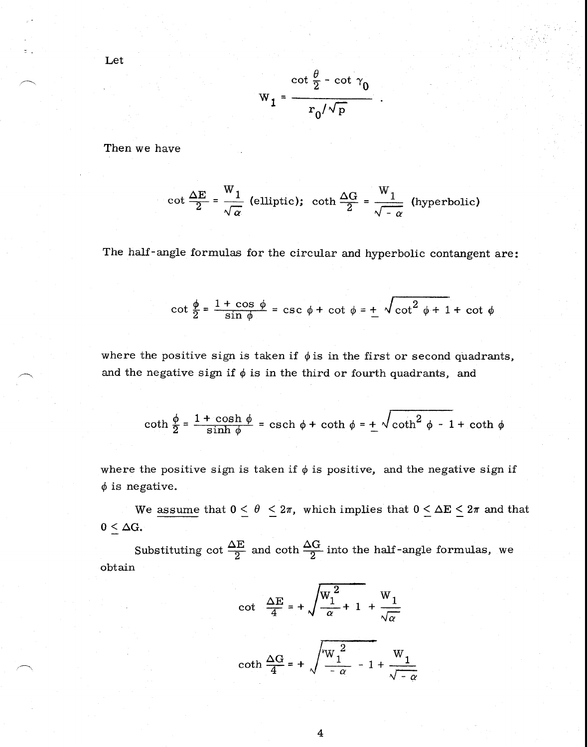$$
W_1 = \frac{\cot\frac{\theta}{2} - \cot\gamma_0}{r_0/\sqrt{p}}
$$

Then we have

Let

$$
\cot \frac{\Delta E}{2} = \frac{W_1}{\sqrt{\alpha}} \text{ (elliptic); } \coth \frac{\Delta G}{2} = \frac{W_1}{\sqrt{-\alpha}} \text{ (hyperbolic)}
$$

The half-angle formulas for the circular and hyperbolic contangent are:

$$
\cot \frac{\phi}{2} = \frac{1 + \cos \phi}{\sin \phi} = \csc \phi + \cot \phi = \frac{1}{2} \sqrt{\cot^2 \phi + 1 + \cot \phi}
$$

where the positive sign is taken if  $\phi$  is in the first or second quadrants, and the negative sign if  $\phi$  is in the third or fourth quadrants, and

$$
\coth \frac{\phi}{2} = \frac{1 + \cosh \phi}{\sinh \phi} = \operatorname{csch} \phi + \coth \phi = \pm \sqrt{\coth^2 \phi - 1 + \coth \phi}
$$

where the positive sign is taken if  $\phi$  is positive, and the negative sign if  $\phi$  is negative.

We assume that  $0 \le \theta \le 2\pi$ , which implies that  $0 \le \Delta E \le 2\pi$  and that  $0 < \Delta G$ .

Substituting cot  $\frac{\Delta E}{2}$  and coth  $\frac{\Delta G}{2}$  into the half-angle formulas, we obtain

$$
\cot \left( \frac{\Delta E}{4} \right) = + \sqrt{\frac{W_1^2}{\alpha} + 1} + \frac{W_1}{\sqrt{\alpha}}
$$

$$
\coth \frac{\Delta G}{4} = + \sqrt{\frac{W_1^2}{-\alpha} - 1 + \frac{W_1}{\sqrt{-\alpha}}}
$$

4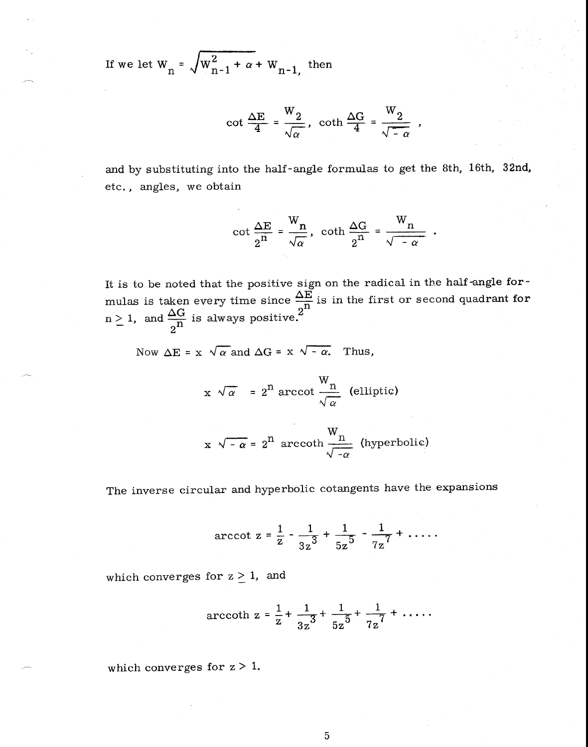If we let  $W_n = \sqrt{W_{n-1}^2 + \alpha + W_{n-1}}$ , then

$$
\cot \frac{\Delta E}{4} = \frac{W_2}{\sqrt{\alpha}}, \ \coth \frac{\Delta G}{4} = \frac{W_2}{\sqrt{-\alpha}} \ ,
$$

and by substituting into the half-angle formulas to get the 8th, 16th, 32nd, etc., angles, we obtain

$$
\cot \frac{\Delta E}{2^n} = \frac{W_n}{\sqrt{\alpha}}, \ \coth \frac{\Delta G}{2^n} = \frac{W_n}{\sqrt{-\alpha}}.
$$

It is to be noted that the positive sign on the radical in the half-angle formulas is taken every time since  $\frac{\Delta E}{2^{n}}$  is in the first or second quadrant for  $n > 1$ , and  $\frac{\Delta G}{n}$  is always positive.<sup>2</sup>  $\overline{2^n}$ 

Now  $\Delta E = x \sqrt{\alpha}$  and  $\Delta G = x \sqrt{-\alpha}$ . Thus,

$$
x \sqrt{\alpha} = 2^{n} \operatorname{arccot} \frac{W_{n}}{\sqrt{\alpha}}
$$
 (elliptic)

$$
x \sqrt{-\alpha} = 2^{n}
$$
 arccoth  $\frac{W_{n}}{\sqrt{-\alpha}}$  (hyperbolic)

The inverse circular and hyperbolic cotangents have the expansions

$$
\text{arccot } z = \frac{1}{z} - \frac{1}{3z^3} + \frac{1}{5z^5} - \frac{1}{7z^7} + \dots
$$

which converges for  $z \geq 1$ , and

$$
\text{arccoth } z = \frac{1}{z} + \frac{1}{3z^3} + \frac{1}{5z^5} + \frac{1}{7z^7} + \dots
$$

which converges for  $z > 1$ .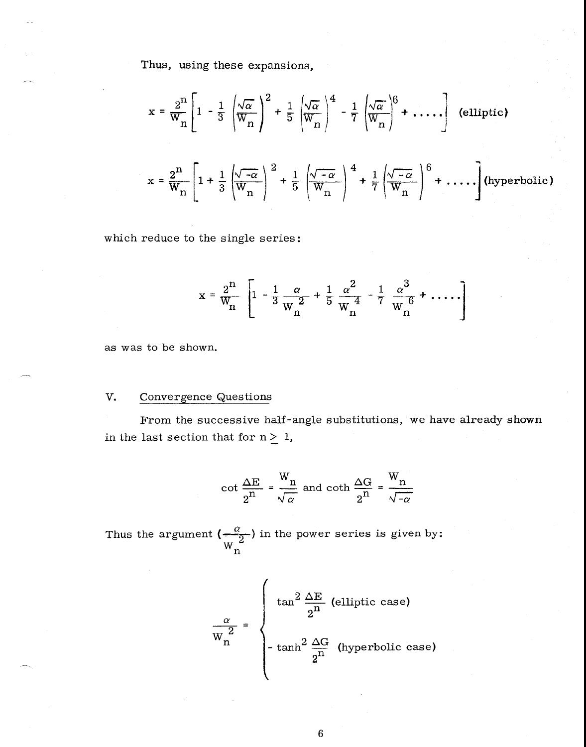Thus, using these expansions,

$$
x = \frac{2^{n}}{W_{n}} \left[ 1 - \frac{1}{3} \left( \frac{\sqrt{\alpha}}{W_{n}} \right)^{2} + \frac{1}{5} \left( \frac{\sqrt{\alpha}}{W_{n}} \right)^{4} - \frac{1}{7} \left( \frac{\sqrt{\alpha}}{W_{n}} \right)^{6} + \dots \right]
$$
 (elliptic)  

$$
x = \frac{2^{n}}{W_{n}} \left[ 1 + \frac{1}{3} \left( \frac{\sqrt{-\alpha}}{W_{n}} \right)^{2} + \frac{1}{5} \left( \frac{\sqrt{-\alpha}}{W_{n}} \right)^{4} + \frac{1}{7} \left( \frac{\sqrt{-\alpha}}{W_{n}} \right)^{6} + \dots \right]
$$
 (hyperbolic)

which reduce to the single series:

$$
x = \frac{2^{n}}{W_{n}} \left[ 1 - \frac{1}{3} \frac{\alpha}{W_{n}^{2}} + \frac{1}{5} \frac{\alpha^{2}}{W_{n}^{4}} - \frac{1}{7} \frac{\alpha^{3}}{W_{n}^{6}} + \dots \right]
$$

as was to be shown.

## V. Convergence Questions

From the successive half-angle substitutions, we have already shown in the last section that for  $n \geq 1$ ,

$$
\cot \frac{\Delta E}{2^n} = \frac{W_n}{\sqrt{\alpha}} \text{ and } \coth \frac{\Delta G}{2^n} = \frac{W_n}{\sqrt{-\alpha}}
$$

Thus the argument  $\left(\frac{\alpha}{2}\right)$  in the power series is given by:  $W_{n}$ <sup> $\overline{u}$ </sup>

$$
\frac{\alpha}{W_n^2} = \begin{cases} \tan^2 \frac{\Delta E}{2^n} & \text{(elliptic case)}\\ -\tanh^2 \frac{\Delta G}{2^n} & \text{(hyperbolic case)} \end{cases}
$$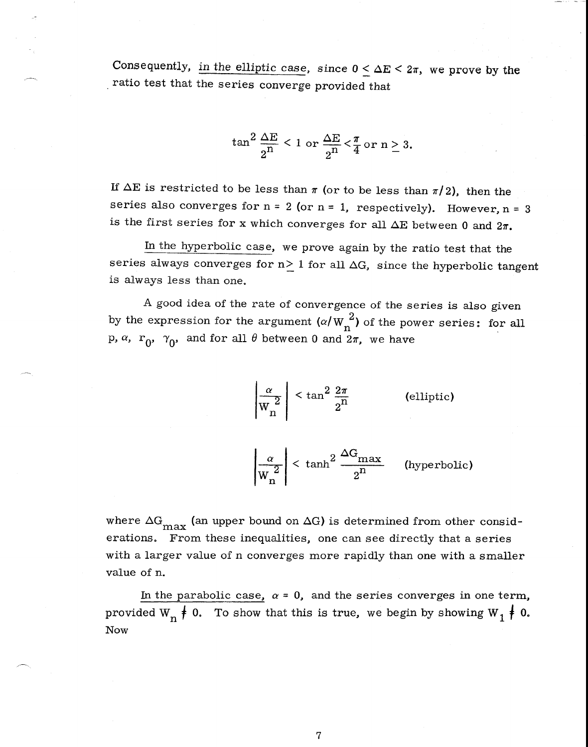Consequently, in the elliptic case, since  $0 \leq \Delta E \leq 2\pi$ , we prove by the ratio test that the series converge provided that

$$
\tan^2 \frac{\Delta E}{2^n} < 1 \text{ or } \frac{\Delta E}{2^n} < \frac{\pi}{4} \text{ or } n \geq 3.
$$

If  $\Delta E$  is restricted to be less than  $\pi$  (or to be less than  $\pi/2$ ), then the series also converges for  $n = 2$  (or  $n = 1$ , respectively). However,  $n = 3$ is the first series for x which converges for all  $\Delta E$  between 0 and  $2\pi$ .

In the hyperbolic case, we prove again by the ratio test that the series always converges for  $n \geq 1$  for all  $\Delta G$ , since the hyperbolic tangent is always less than one.

A good idea of the rate of convergence of the series is also given by the expression for the argument  $\left(\alpha / W_n^2\right)$  of the power series: for all p,  $\alpha$ ,  $r_0$ ,  $\gamma_0$ , and for all  $\theta$  between 0 and  $2\pi$ , we have

> $\left(\frac{\alpha}{2}\right)$  < tan<sup>2</sup>  $\frac{2\pi}{n}$  $\overline{W_n^2}$   $\overline{2^n}$ (elliptic)

 $\left| \frac{\alpha}{w_n^2} \right|$  < tanh<sup>2</sup>  $\frac{\Delta G_{\text{max}}}{2^n}$  (hyperbolic)

where  $\Delta G_{\text{max}}$  (an upper bound on  $\Delta G$ ) is determined from other considerations. From these inequalities, one can see directly that a series with a larger value of n converges more rapidly than one with a smaller value of n.

In the parabolic case,  $\alpha = 0$ , and the series converges in one term, provided W<sub>n</sub>  $\neq$  0. To show that this is true, we begin by showing W<sub>1</sub>  $\neq$  0. Now

7